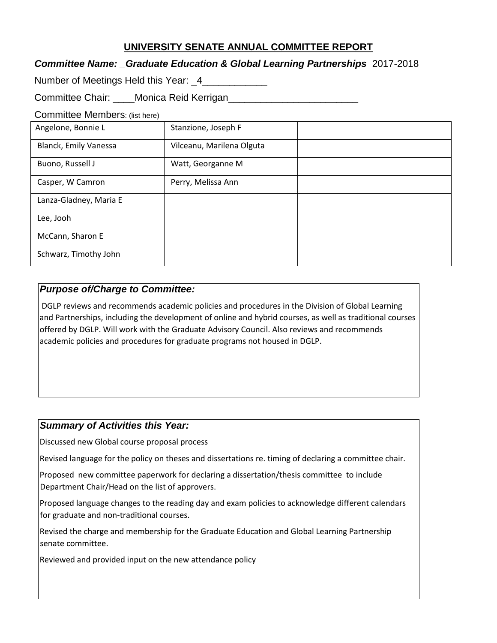# **UNIVERSITY SENATE ANNUAL COMMITTEE REPORT**

### *Committee Name: \_Graduate Education & Global Learning Partnerships* 2017-2018

| Number of Meetings Held this Year: _4_ |  |
|----------------------------------------|--|
|----------------------------------------|--|

Committee Chair: Monica Reid Kerrigan

#### Committee Members: (list here)

| Angelone, Bonnie L     | Stanzione, Joseph F       |  |
|------------------------|---------------------------|--|
| Blanck, Emily Vanessa  | Vilceanu, Marilena Olguta |  |
| Buono, Russell J       | Watt, Georganne M         |  |
| Casper, W Camron       | Perry, Melissa Ann        |  |
| Lanza-Gladney, Maria E |                           |  |
| Lee, Jooh              |                           |  |
| McCann, Sharon E       |                           |  |
| Schwarz, Timothy John  |                           |  |

### *Purpose of/Charge to Committee:*

DGLP reviews and recommends academic policies and procedures in the Division of Global Learning and Partnerships, including the development of online and hybrid courses, as well as traditional courses offered by DGLP. Will work with the Graduate Advisory Council. Also reviews and recommends academic policies and procedures for graduate programs not housed in DGLP.

#### *Summary of Activities this Year:*

Discussed new Global course proposal process

Revised language for the policy on theses and dissertations re. timing of declaring a committee chair.

Proposed new committee paperwork for declaring a dissertation/thesis committee to include Department Chair/Head on the list of approvers.

Proposed language changes to the reading day and exam policies to acknowledge different calendars for graduate and non-traditional courses.

Revised the charge and membership for the Graduate Education and Global Learning Partnership senate committee.

Reviewed and provided input on the new attendance policy